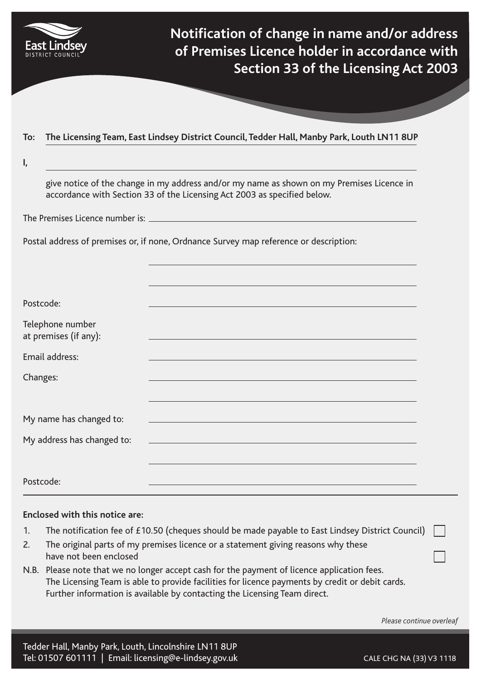

**Notification of change in name and/or address of Premises Licence holder in accordance with Section 33 of the Licensing Act 2003**

## **To: The Licensing Team, East Lindsey District Council, Tedder Hall, Manby Park, Louth LN11 8UP**

**I,**

give notice of the change in my address and/or my name as shown on my Premises Licence in accordance with Section 33 of the Licensing Act 2003 as specified below.

The Premises Licence number is:

Postal address of premises or, if none, Ordnance Survey map reference or description:

| Postcode:                                 |  |
|-------------------------------------------|--|
| Telephone number<br>at premises (if any): |  |
| Email address:                            |  |
| Changes:                                  |  |
|                                           |  |
| My name has changed to:                   |  |
| My address has changed to:                |  |
|                                           |  |
| Postcode:                                 |  |

## **Enclosed with this notice are:**

- 1. The notification fee of £10.50 (cheques should be made payable to East Lindsey District Council)
- 2. The original parts of my premises licence or a statement giving reasons why these have not been enclosed
- N.B. Please note that we no longer accept cash for the payment of licence application fees. The Licensing Team is able to provide facilities for licence payments by credit or debit cards. Further information is available by contacting the Licensing Team direct.

*Please continue overleaf*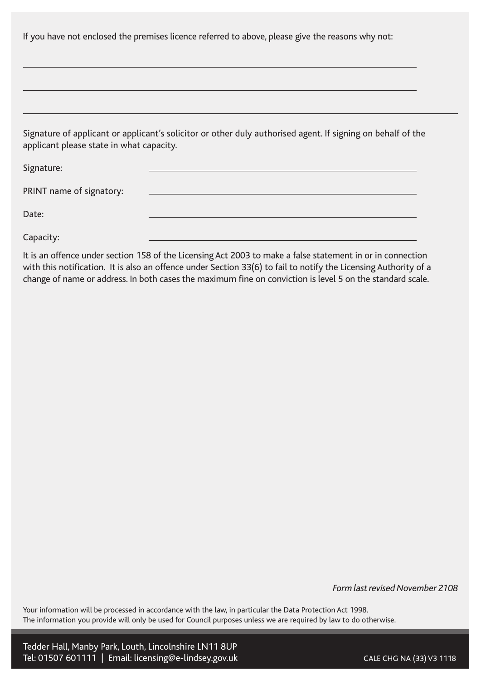Signature of applicant or applicant's solicitor or other duly authorised agent. If signing on behalf of the applicant please state in what capacity.

Signature:

PRINT name of signatory:

Date:

Capacity:

It is an offence under section 158 of the Licensing Act 2003 to make a false statement in or in connection with this notification. It is also an offence under Section 33(6) to fail to notify the Licensing Authority of a change of name or address. In both cases the maximum fine on conviction is level 5 on the standard scale.

*Form last revised November 2108*

Your information will be processed in accordance with the law, in particular the Data Protection Act 1998. The information you provide will only be used for Council purposes unless we are required by law to do otherwise.

Tedder Hall, Manby Park, Louth, Lincolnshire LN11 8UP Tel: 01507 601111 | Email: licensing@e-lindsey.gov.uk CALE CHG NA (33) V3 1118